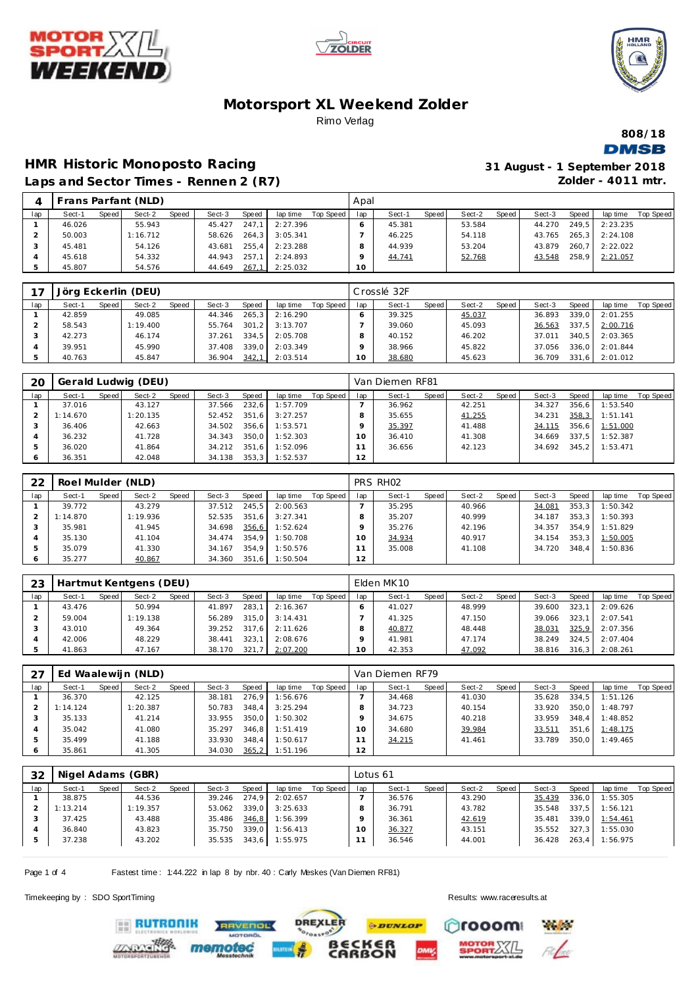





## **Motorsport XL Weekend Zolder** Rimo Verlag

**808/18 DMSB** 

## **HMR Historic Monoposto Racing Laps and Sector Times - Rennen 2 (R7)**

| 31 August - 1 September 2018 |
|------------------------------|
| Zolder - $4011$ mtr.         |

|               |        |       | Frans Parfant (NLD) |       |        |       |          |           | Apal |        |       |        |       |        |       |          |                  |
|---------------|--------|-------|---------------------|-------|--------|-------|----------|-----------|------|--------|-------|--------|-------|--------|-------|----------|------------------|
| lap           | Sect-1 | Speed | Sect-2              | Speed | Sect-3 | Speed | lap time | Top Speed | lap  | Sect-1 | Speed | Sect-2 | Speed | Sect-3 | Speed | lap time | <b>Top Speed</b> |
|               | 46.026 |       | 55.943              |       | 45.427 | 247.1 | 2:27.396 |           |      | 45.381 |       | 53.584 |       | 44.270 | 249.5 | 2:23.235 |                  |
| ⌒             | 50.003 |       | 1:16.712            |       | 58.626 | 264.3 | 3:05.341 |           |      | 46.225 |       | 54.118 |       | 43.765 | 265.3 | 2:24.108 |                  |
| $\mathcal{L}$ | 45.481 |       | 54.126              |       | 43.681 | 255.4 | 2:23.288 |           |      | 44.939 |       | 53.204 |       | 43.879 | 260.7 | 2:22.022 |                  |
| 4             | 45.618 |       | 54.332              |       | 44.943 | 257.1 | 2:24.893 |           |      | 44.741 |       | 52.768 |       | 43.548 | 258.9 | 2:21.057 |                  |
| ь             | 45.807 |       | 54.576              |       | 44.649 | 267,1 | 2:25.032 |           | 10   |        |       |        |       |        |       |          |                  |

| 17  |        |         | Jörg Eckerlin (DEU) |       |        |       |          |           |     | Crosslé 32F |         |        |       |        |       |                |           |
|-----|--------|---------|---------------------|-------|--------|-------|----------|-----------|-----|-------------|---------|--------|-------|--------|-------|----------------|-----------|
| lap | Sect-1 | Speed I | Sect-2              | Speed | Sect-3 | Speed | lap time | Top Speed | lap | Sect-1      | Speed I | Sect-2 | Speed | Sect-3 | Speed | lap time       | Top Speed |
|     | 42.859 |         | 49.085              |       | 44.346 | 265.3 | 2:16.290 |           |     | 39.325      |         | 45.037 |       | 36.893 | 339.0 | 2:01.255       |           |
|     | 58.543 |         | 1:19.400            |       | 55.764 | 301.2 | 3:13.707 |           |     | 39.060      |         | 45.093 |       | 36.563 | 337.5 | 2:00.716       |           |
|     | 42.273 |         | 46.174              |       | 37.261 | 334.5 | 2:05.708 |           |     | 40.152      |         | 46.202 |       | 37.011 |       | 340.5 2:03.365 |           |
|     | 39.951 |         | 45.990              |       | 37.408 | 339.0 | 2:03.349 |           |     | 38.966      |         | 45.822 |       | 37.056 |       | 336.0 2:01.844 |           |
|     | 40.763 |         | 45.847              |       | 36.904 | 342,1 | 2:03.514 |           | 10  | 38.680      |         | 45.623 |       | 36.709 |       | 331.6 2:01.012 |           |

| 20  |          |       | Gerald Ludwig (DEU) |       |        |       |          |           |     | Van Diemen RF81 |       |        |       |        |       |          |           |
|-----|----------|-------|---------------------|-------|--------|-------|----------|-----------|-----|-----------------|-------|--------|-------|--------|-------|----------|-----------|
| lap | Sect-1   | Speed | Sect-2              | Speed | Sect-3 | Speed | lap time | Top Speed | lap | Sect-1          | Speed | Sect-2 | Speed | Sect-3 | Speed | lap time | Top Speed |
|     | 37.016   |       | 43.127              |       | 37.566 | 232.6 | 1:57.709 |           |     | 36.962          |       | 42.251 |       | 34.327 | 356.6 | 1:53.540 |           |
|     | 1:14.670 |       | 1:20.135            |       | 52.452 | 351.6 | 3:27.257 |           |     | 35.655          |       | 41.255 |       | 34.231 | 358,3 | 1:51.141 |           |
|     | 36.406   |       | 42.663              |       | 34.502 | 356.6 | 1:53.571 |           |     | 35.397          |       | 41.488 |       | 34.115 | 356.6 | 1:51.000 |           |
|     | 36.232   |       | 41.728              |       | 34.343 | 350.0 | 1:52.303 |           |     | 36.410          |       | 41.308 |       | 34.669 | 337.5 | 1:52.387 |           |
|     | 36.020   |       | 41.864              |       | 34.212 | 351.6 | 1:52.096 |           |     | 36.656          |       | 42.123 |       | 34.692 | 345.2 | 1:53.471 |           |
|     | 36.351   |       | 42.048              |       | 34.138 | 353.3 | 1:52.537 |           | 12  |                 |       |        |       |        |       |          |           |

| 22  | Roel Mulder (NLD) |       |          |       |        |       |          |           |     | PRS RH02 |       |        |       |        |       |          |           |
|-----|-------------------|-------|----------|-------|--------|-------|----------|-----------|-----|----------|-------|--------|-------|--------|-------|----------|-----------|
| lap | Sect-1            | Speed | Sect-2   | Speed | Sect-3 | Speed | lap time | Top Speed | lap | Sect-1   | Speed | Sect-2 | Speed | Sect-3 | Speed | lap time | Top Speed |
|     | 39.772            |       | 43.279   |       | 37.512 | 245,5 | 2:00.563 |           |     | 35.295   |       | 40.966 |       | 34.081 | 353,3 | 1:50.342 |           |
|     | 1:14.870          |       | 1:19.936 |       | 52.535 | 351.6 | 3:27.341 |           |     | 35.207   |       | 40.999 |       | 34.187 | 353.3 | 1:50.393 |           |
|     | 35.981            |       | 41.945   |       | 34.698 | 356,6 | 1:52.624 |           |     | 35.276   |       | 42.196 |       | 34.357 | 354.9 | 1:51.829 |           |
|     | 35.130            |       | 41.104   |       | 34.474 | 354.9 | 1:50.708 |           |     | 34.934   |       | 40.917 |       | 34.154 | 353.3 | 1:50.005 |           |
|     | 35.079            |       | 41.330   |       | 34.167 | 354.9 | 1:50.576 |           |     | 35.008   |       | 41.108 |       | 34.720 | 348.4 | 1:50.836 |           |
| O   | 35.277            |       | 40.867   |       | 34.360 | 351.6 | 1:50.504 |           | 12  |          |       |        |       |        |       |          |           |

| 23  |        |       | Hartmut Kentgens (DEU) |       |        |       |          |           |     | Elden MK 10 |       |        |       |        |       |          |           |
|-----|--------|-------|------------------------|-------|--------|-------|----------|-----------|-----|-------------|-------|--------|-------|--------|-------|----------|-----------|
| lap | Sect-1 | Speed | Sect-2                 | Speed | Sect-3 | Speed | lap time | Top Speed | lap | Sect-1      | Speed | Sect-2 | Speed | Sect-3 | Speed | lap time | Top Speed |
|     | 43.476 |       | 50.994                 |       | 41.897 | 283.1 | 2:16.367 |           |     | 41.027      |       | 48.999 |       | 39.600 | 323.1 | 2:09.626 |           |
|     | 59.004 |       | 1:19.138               |       | 56.289 | 315.0 | 3:14.431 |           |     | 41.325      |       | 47.150 |       | 39.066 | 323.1 | 2:07.541 |           |
|     | 43.010 |       | 49.364                 |       | 39.252 | 317.6 | 2:11.626 |           |     | 40.877      |       | 48.448 |       | 38.031 | 325.9 | 2:07.356 |           |
|     | 42.006 |       | 48.229                 |       | 38.441 | 323.1 | 2:08.676 |           |     | 41.981      |       | 47.174 |       | 38.249 | 324.5 | 2:07.404 |           |
|     | 41.863 |       | 47.167                 |       | 38.170 | 321   | 2:07.200 |           | 10  | 42.353      |       | 47.092 |       | 38.816 | 316.3 | 2:08.261 |           |

| 27      |          | Ed Waalewijn (NLD)<br>Speed<br>Sect-2<br>Speed<br>Speed I<br>Sect-3<br>lap time<br>42.125<br>276,9<br>38.181 |          |  |        |       |          |           |        | Van Diemen RF79 |       |        |         |        |       |          |           |
|---------|----------|--------------------------------------------------------------------------------------------------------------|----------|--|--------|-------|----------|-----------|--------|-----------------|-------|--------|---------|--------|-------|----------|-----------|
| lap     | Sect-1   |                                                                                                              |          |  |        |       |          | Top Speed | lap    | Sect-1          | Speed | Sect-2 | Speed I | Sect-3 | Speed | lap time | Top Speed |
|         | 36.370   |                                                                                                              |          |  |        |       | 1:56.676 |           |        | 34.468          |       | 41.030 |         | 35.628 | 334.5 | 1:51.126 |           |
|         | 1:14.124 |                                                                                                              | 1:20.387 |  | 50.783 | 348.4 | 3:25.294 |           |        | 34.723          |       | 40.154 |         | 33.920 | 350.0 | 1:48.797 |           |
|         | 35.133   |                                                                                                              | 41.214   |  | 33.955 | 350.0 | 1:50.302 |           |        | 34.675          |       | 40.218 |         | 33.959 | 348.4 | 1:48.852 |           |
|         | 35.042   |                                                                                                              | 41.080   |  | 35.297 | 346.8 | 1:51.419 |           | $10-1$ | 34.680          |       | 39.984 |         | 33.511 | 351.6 | 1:48.175 |           |
|         | 35.499   |                                                                                                              | 41.188   |  | 33.930 | 348.4 | 1:50.617 |           |        | 34.215          |       | 41.461 |         | 33.789 | 350.0 | 1:49.465 |           |
| $\circ$ | 35.861   |                                                                                                              | 41.305   |  | 34.030 | 365,2 | 1:51.196 |           | 12     |                 |       |        |         |        |       |          |           |

| 32  |          |       | Nigel Adams (GBR) |       |        |       |          |           | Lotus 61 |        |       |        |       |        |       |           |           |
|-----|----------|-------|-------------------|-------|--------|-------|----------|-----------|----------|--------|-------|--------|-------|--------|-------|-----------|-----------|
| lap | Sect-1   | Speed | Sect-2            | Speed | Sect-3 | Speed | lap time | Top Speed | lap      | Sect-1 | Speed | Sect-2 | Speed | Sect-3 | Speed | lap time  | Top Speed |
|     | 38.875   |       | 44.536            |       | 39.246 | 274,9 | 2:02.657 |           |          | 36.576 |       | 43.290 |       | 35.439 | 336,0 | 1:55.305  |           |
|     | 1:13.214 |       | 1:19.357          |       | 53.062 | 339.0 | 3:25.633 |           |          | 36.791 |       | 43.782 |       | 35.548 | 337.5 | I: 56.121 |           |
|     | 37.425   |       | 43.488            |       | 35.486 | 346,8 | 1:56.399 |           |          | 36.361 |       | 42.619 |       | 35.481 | 339.0 | 1:54.461  |           |
|     | 36.840   |       | 43.823            |       | 35.750 | 339.0 | 1:56.413 |           |          | 36.327 |       | 43.151 |       | 35.552 | 327.3 | 1:55.030  |           |
|     | 37.238   |       | 43.202            |       | 35.535 | 343,6 | 1:55.975 |           |          | 36.546 |       | 44.001 |       | 36.428 | 263,4 | 1:56.975  |           |
|     |          |       |                   |       |        |       |          |           |          |        |       |        |       |        |       |           |           |

**PDUNLOP** 

ັ6R<br>ON

**DREXLER** 

Page 1 of 4 Fastest time : 1:44.222 in lap 8 by nbr. 40 : Carly Meskes (Van Diemen RF81)

**TVENDL** 

Timekeeping by : SDO SportTiming Results:<www.raceresults.at>

**ERUTRONIK** 

rooom

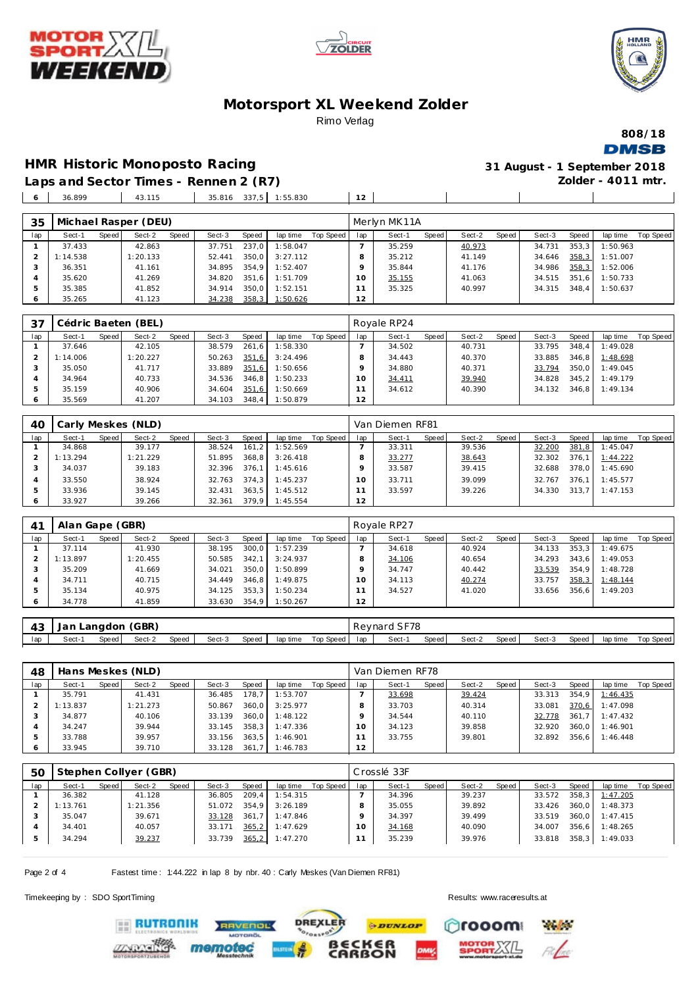





**808/18**

#### **Motorsport XL Weekend Zolder** Rimo Verlag

**HMR Historic Monoposto Racing 31 August - 1 September 2018**

**DMSB Zolder - 4011 mtr.**

 $\overline{\phantom{a}}$ 

**Laps and Sector Times - Rennen 2 (R7)** 36.899 43.115 35.816 337,5 1:55.830 **12**

|                 |          |       |        |       |          |                |                      | Merlyn MK11A |       |        |       |        |       |          |           |
|-----------------|----------|-------|--------|-------|----------|----------------|----------------------|--------------|-------|--------|-------|--------|-------|----------|-----------|
| Speed<br>Sect-1 | Sect-2   | Speed | Sect-3 | Speed | lap time | Top Speed      | lap                  | Sect-1       | Speed | Sect-2 | Speed | Sect-3 | Speed | lap time | Top Speed |
| 37.433          | 42.863   |       | 37.751 | 237,0 | 1:58.047 |                |                      | 35.259       |       | 40.973 |       | 34.731 | 353.3 | 1:50.963 |           |
| 1:14.538        | : 20.133 |       | 52.441 | 350.0 |          |                | 8                    | 35.212       |       | 41.149 |       | 34.646 | 358,3 | 1:51.007 |           |
| 36.351          | 41.161   |       | 34.895 |       | 1:52.407 |                | o                    | 35.844       |       | 41.176 |       | 34.986 | 358,3 | 1:52.006 |           |
| 35.620          | 41.269   |       | 34.820 |       | 1:51.709 |                | 10                   | 35.155       |       | 41.063 |       | 34.515 | 351.6 | 1:50.733 |           |
| 35.385          | 41.852   |       | 34.914 | 350.0 | 1:52.151 |                |                      | 35.325       |       | 40.997 |       | 34.315 | 348.4 | 1:50.637 |           |
| 35.265          | 41.123   |       | 34.238 | 358,3 |          |                | 12                   |              |       |        |       |        |       |          |           |
|                 |          |       |        |       |          | 354.9<br>351.6 | 3:27.112<br>1:50.626 |              |       |        |       |        |       |          |           |

| 37  |          |       | Cédric Baeten (BEL) |       |        |       |          |           |     | Royale RP24 |       |        |       |        |       |          |           |
|-----|----------|-------|---------------------|-------|--------|-------|----------|-----------|-----|-------------|-------|--------|-------|--------|-------|----------|-----------|
| lap | Sect-1   | Speed | Sect-2              | Speed | Sect-3 | Speed | lap time | Top Speed | lap | Sect-1      | Speed | Sect-2 | Speed | Sect-3 | Speed | lap time | Top Speed |
|     | 37.646   |       | 42.105              |       | 38.579 | 261.6 | 1:58.330 |           |     | 34.502      |       | 40.731 |       | 33.795 | 348.4 | 1:49.028 |           |
|     | 1:14.006 |       | 1:20.227            |       | 50.263 | 351,6 | 3:24.496 |           |     | 34.443      |       | 40.370 |       | 33.885 | 346.8 | 1:48.698 |           |
|     | 35.050   |       | 41.717              |       | 33.889 | 351,6 | 1:50.656 |           |     | 34.880      |       | 40.371 |       | 33.794 | 350.0 | 1:49.045 |           |
|     | 34.964   |       | 40.733              |       | 34.536 | 346.8 | 1:50.233 |           |     | 34.411      |       | 39.940 |       | 34.828 | 345.2 | 1:49.179 |           |
| 5   | 35.159   |       | 40.906              |       | 34.604 | 351,6 | 1:50.669 |           |     | 34.612      |       | 40.390 |       | 34.132 | 346.8 | 1:49.134 |           |
|     | 35.569   |       | 41.207              |       | 34.103 | 348.4 | 1:50.879 |           | 2   |             |       |        |       |        |       |          |           |

| 40  |          |       | Carly Meskes (NLD) |       |        |       |                |           |          | Van Diemen RF81 |       |        |       |        |       |          |           |
|-----|----------|-------|--------------------|-------|--------|-------|----------------|-----------|----------|-----------------|-------|--------|-------|--------|-------|----------|-----------|
| lap | Sect-1   | Speed | Sect-2             | Speed | Sect-3 | Speed | lap time       | Top Speed | lap      | Sect-1          | Speed | Sect-2 | Speed | Sect-3 | Speed | lap time | Top Speed |
|     | 34.868   |       | 39.177             |       | 38.524 | 161.2 | 1:52.569       |           |          | 33.311          |       | 39.536 |       | 32.200 | 381,8 | 1:45.047 |           |
|     | 1:13.294 |       | 1:21.229           |       | 51.895 | 368.8 | 3:26.418       |           |          | 33.277          |       | 38.643 |       | 32.302 | 376.1 | 1:44.222 |           |
|     | 34.037   |       | 39.183             |       | 32.396 | 376.1 | 1:45.616       |           |          | 33.587          |       | 39.415 |       | 32.688 | 378.0 | 1:45.690 |           |
|     | 33.550   |       | 38.924             |       | 32.763 | 374.3 | 1:45.237       |           | $\Omega$ | 33.711          |       | 39.099 |       | 32.767 | 376.1 | 1:45.577 |           |
|     | 33.936   |       | 39.145             |       | 32.431 | 363.5 | 1:45.512       |           |          | 33.597          |       | 39.226 |       | 34.330 | 313.7 | 1:47.153 |           |
|     | 33.927   |       | 39.266             |       | 32.361 |       | 379.9 1:45.554 |           | 12       |                 |       |        |       |        |       |          |           |

| 41      | Alan Gape (GBR) |       |          |       |        |       |          |           |     | Royale RP27 |       |        |       |        |       |          |           |
|---------|-----------------|-------|----------|-------|--------|-------|----------|-----------|-----|-------------|-------|--------|-------|--------|-------|----------|-----------|
| lap     | Sect-1          | Speed | Sect-2   | Speed | Sect-3 | Speed | lap time | Top Speed | lap | Sect-1      | Speed | Sect-2 | Speed | Sect-3 | Speed | lap time | Top Speed |
|         | 37.114          |       | 41.930   |       | 38.195 | 300,0 | 1:57.239 |           |     | 34.618      |       | 40.924 |       | 34.133 | 353,3 | 1:49.675 |           |
|         | 1:13.897        |       | 1:20.455 |       | 50.585 | 342.1 | 3:24.937 |           |     | 34.106      |       | 40.654 |       | 34.293 | 343.6 | 1:49.053 |           |
|         | 35.209          |       | 41.669   |       | 34.021 | 350,0 | 1:50.899 |           |     | 34.747      |       | 40.442 |       | 33.539 | 354.9 | 1:48.728 |           |
| 4       | 34.711          |       | 40.715   |       | 34.449 | 346.8 | 1:49.875 |           | 10  | 34.113      |       | 40.274 |       | 33.757 | 358.3 | 1:48.144 |           |
| 5       | 35.134          |       | 40.975   |       | 34.125 | 353.3 | 1:50.234 |           |     | 34.527      |       | 41.020 |       | 33.656 | 356.6 | 1:49.203 |           |
| $\circ$ | 34.778          |       | 41.859   |       | 33.630 | 354,9 | 1:50.267 |           | 12  |             |       |        |       |        |       |          |           |

| 43  | Jan Langdon (GBR) |       |        |       |        |       |          |           |     | Reynard SF78 |       |        |         |        |       |          |           |
|-----|-------------------|-------|--------|-------|--------|-------|----------|-----------|-----|--------------|-------|--------|---------|--------|-------|----------|-----------|
| lap | Sect-             | Speed | Sect-2 | Speed | Sect-3 | Speed | lap time | Top Speed | lap | Sect-1       | Speed | Sect-2 | Speed I | Sect-3 | Speed | lap time | Top Speed |

| 48      |          |       | Hans Meskes (NLD) |       |        |       |          |           |     | Van Diemen RF78 |       |        |       |        |       |          |           |
|---------|----------|-------|-------------------|-------|--------|-------|----------|-----------|-----|-----------------|-------|--------|-------|--------|-------|----------|-----------|
| lap     | Sect-1   | Speed | Sect-2            | Speed | Sect-3 | Speed | lap time | Top Speed | lap | Sect-1          | Speed | Sect-2 | Speed | Sect-3 | Speed | lap time | Top Speed |
|         | 35.791   |       | 41.431            |       | 36.485 | 178,7 | 1:53.707 |           |     | 33.698          |       | 39.424 |       | 33.313 | 354.9 | 1:46.435 |           |
|         | 1:13.837 |       | 1:21.273          |       | 50.867 | 360.0 | 3:25.977 |           |     | 33.703          |       | 40.314 |       | 33.081 | 370,6 | 1:47.098 |           |
|         | 34.877   |       | 40.106            |       | 33.139 | 360.0 | 1:48.122 |           |     | 34.544          |       | 40.110 |       | 32.778 | 361.7 | 1:47.432 |           |
| 4       | 34.247   |       | 39.944            |       | 33.145 | 358.3 | 1:47.336 |           | 10  | 34.123          |       | 39.858 |       | 32.920 | 360.0 | 1:46.901 |           |
| 5       | 33.788   |       | 39.957            |       | 33.156 | 363.5 | 1:46.901 |           |     | 33.755          |       | 39.801 |       | 32.892 | 356.6 | 1:46.448 |           |
| $\circ$ | 33.945   |       | 39.710            |       | 33.128 | 361.7 | 1:46.783 |           | 12  |                 |       |        |       |        |       |          |           |

| 50  |          |       | Stephen Collyer (GBR) |       |        |       |          |           |     | Crosslé 33F |       |        |       |        |       |          |           |
|-----|----------|-------|-----------------------|-------|--------|-------|----------|-----------|-----|-------------|-------|--------|-------|--------|-------|----------|-----------|
| lap | Sect-1   | Speed | Sect-2                | Speed | Sect-3 | Speed | lap time | Top Speed | lap | Sect-1      | Speed | Sect-2 | Speed | Sect-3 | Speed | lap time | Top Speed |
|     | 36.382   |       | 41.128                |       | 36.805 | 209.4 | 1:54.315 |           |     | 34.396      |       | 39.237 |       | 33.572 | 358.3 | 1:47.205 |           |
|     | 1:13.761 |       | 1:21.356              |       | 51.072 | 354.9 | 3:26.189 |           |     | 35.055      |       | 39.892 |       | 33.426 | 360.0 | 1:48.373 |           |
|     | 35.047   |       | 39.671                |       | 33.128 | 361.7 | 1:47.846 |           |     | 34.397      |       | 39.499 |       | 33.519 | 360.0 | 1:47.415 |           |
|     | 34.401   |       | 40.057                |       | 33.171 | 365,2 | 1:47.629 |           | 1 O | 34.168      |       | 40.090 |       | 34.007 | 356.6 | 1:48.265 |           |
| 5   | 34.294   |       | 39.237                |       | 33.739 | 365,2 | 1:47.270 |           |     | 35.239      |       | 39.976 |       | 33.818 | 358.3 | 1:49.033 |           |

**PDUNLOP** 

*BECKER*<br>CARBON

**DREXLER** 

Page 2 of 4 Fastest time : 1:44.222 in lap 8 by nbr. 40 : Carly Meskes (Van Diemen RF81)

memot

**RAVENOL** 

**ERUTRONIK** 

Timekeeping by : SDO SportTiming Results:<www.raceresults.at>

Crooom

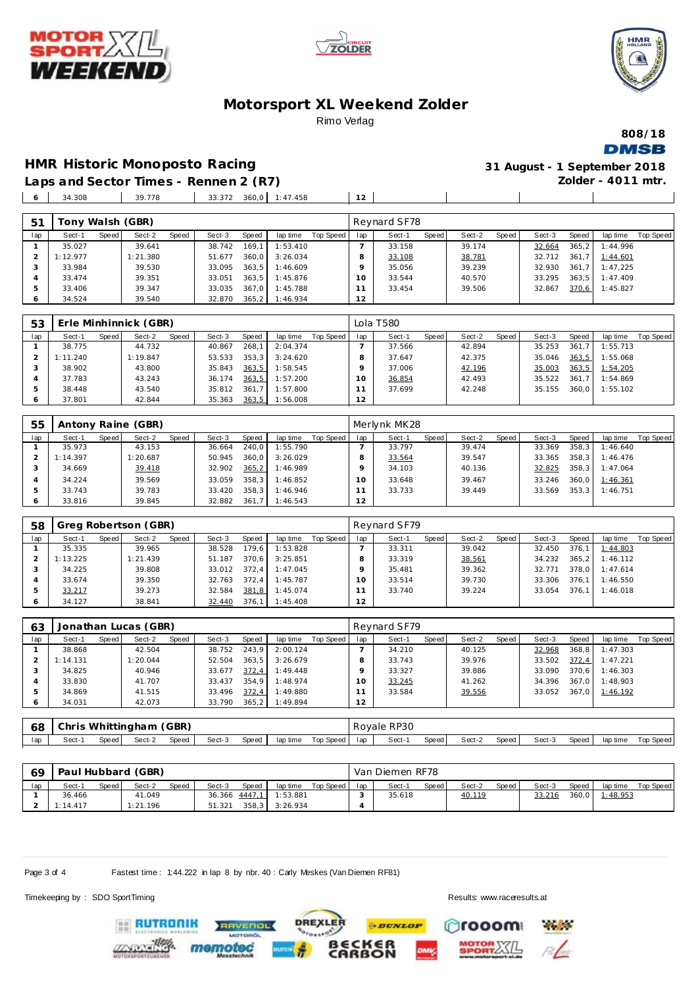





#### **Motorsport XL Weekend Zolder** Rimo Verlag

**808/18 DMSB** 

#### **HMR Historic Monoposto Racing 31 August - 1 September 2018**

**Zolder - 4011 mtr.**

 $\overline{\phantom{a}}$ 

**Laps and Sector Times - Rennen 2 (R7)** 34.308 39.778 33.372 360,0 1:47.458 **12**

| 51      | Tony Walsh (GBR) |       |          |       |        |       |          |           |     | Reynard SF78 |       |        |       |        |        |          |           |
|---------|------------------|-------|----------|-------|--------|-------|----------|-----------|-----|--------------|-------|--------|-------|--------|--------|----------|-----------|
| lap     | Sect-1           | Speed | Sect-2   | Speed | Sect-3 | Speed | lap time | Top Speed | lap | Sect-1       | Speed | Sect-2 | Speed | Sect-3 | Speed  | lap time | Top Speed |
|         | 35.027           |       | 39.641   |       | 38.742 | 169,1 | 1:53.410 |           |     | 33.158       |       | 39.174 |       | 32.664 | 365, 2 | 1:44.996 |           |
|         | 1:12.977         |       | : 21.380 |       | 51.677 | 360.0 | 3:26.034 |           |     | 33.108       |       | 38.781 |       | 32.712 | 361.7  | 1:44.601 |           |
|         | 33.984           |       | 39.530   |       | 33.095 | 363.5 | 1:46.609 |           |     | 35.056       |       | 39.239 |       | 32.930 | 361.7  | 1:47.225 |           |
|         | 33.474           |       | 39.351   |       | 33.051 | 363.5 | 1:45.876 |           | 10  | 33.544       |       | 40.570 |       | 33.295 | 363.5  | 1:47.409 |           |
|         | 33.406           |       | 39.347   |       | 33.035 | 367.0 | 1:45.788 |           |     | 33.454       |       | 39.506 |       | 32.867 | 370.6  | 1:45.827 |           |
| $\circ$ | 34.524           |       | 39.540   |       | 32.870 | 365.2 | 1:46.934 |           | 12  |              |       |        |       |        |        |          |           |

| 53  |          |       | Erle Minhinnick (GBR) |       |        |       |          |           |     | Lola T580 |       |        |       |        |       |          |           |
|-----|----------|-------|-----------------------|-------|--------|-------|----------|-----------|-----|-----------|-------|--------|-------|--------|-------|----------|-----------|
| lap | Sect-1   | Speed | Sect-2                | Speed | Sect-3 | Speed | lap time | Top Speed | lap | Sect-1    | Speed | Sect-2 | Speed | Sect-3 | Speed | lap time | Top Speed |
|     | 38.775   |       | 44.732                |       | 40.867 | 268.1 | 2:04.374 |           |     | 37.566    |       | 42.894 |       | 35.253 | 361.7 | 1:55.713 |           |
|     | 1:11.240 |       | 1:19.847              |       | 53.533 | 353.3 | 3:24.620 |           |     | 37.647    |       | 42.375 |       | 35.046 | 363.5 | 1:55.068 |           |
|     | 38.902   |       | 43.800                |       | 35.843 | 363,5 | 1:58.545 |           |     | 37.006    |       | 42.196 |       | 35.003 | 363,5 | 1:54.205 |           |
|     | 37.783   |       | 43.243                |       | 36.174 | 363,5 | 1:57.200 |           |     | 36.854    |       | 42.493 |       | 35.522 | 361.7 | 1:54.869 |           |
|     | 38.448   |       | 43.540                |       | 35.812 | 361.7 | 1:57.800 |           |     | 37.699    |       | 42.248 |       | 35.155 | 360.0 | 1:55.102 |           |
|     | 37.801   |       | 42.844                |       | 35.363 | 363,5 | 1:56.008 |           | 2   |           |       |        |       |        |       |          |           |

| 55         |          |       | Antony Raine (GBR) |       |        |        |          |           |     | Merlynk MK28 |       |        |       |        |       |          |           |
|------------|----------|-------|--------------------|-------|--------|--------|----------|-----------|-----|--------------|-------|--------|-------|--------|-------|----------|-----------|
| lap        | Sect-1   | Speed | Sect-2             | Speed | Sect-3 | Speed  | lap time | Top Speed | lap | Sect-1       | Speed | Sect-2 | Speed | Sect-3 | Speed | lap time | Top Speed |
|            | 35.973   |       | 43.153             |       | 36.664 | 240.0  | 1:55.790 |           |     | 33.797       |       | 39.474 |       | 33.369 | 358.3 | 1:46.640 |           |
|            | 1:14.397 |       | 1:20.687           |       | 50.945 | 360.0  | 3:26.029 |           |     | 33.564       |       | 39.547 |       | 33.365 | 358.3 | 1:46.476 |           |
|            | 34.669   |       | 39.418             |       | 32.902 | 365, 2 | 1:46.989 |           |     | 34.103       |       | 40.136 |       | 32.825 | 358.3 | 1:47.064 |           |
|            | 34.224   |       | 39.569             |       | 33.059 | 358.3  | 1:46.852 |           |     | 33.648       |       | 39.467 |       | 33.246 | 360.0 | 1:46.361 |           |
|            | 33.743   |       | 39.783             |       | 33.420 | 358.3  | 1:46.946 |           |     | 33.733       |       | 39.449 |       | 33.569 | 353.3 | 1:46.751 |           |
| $\epsilon$ | 33.816   |       | 39.845             |       | 32.882 | 361.7  | 1:46.543 |           | 2   |              |       |        |       |        |       |          |           |

| 58  |          |       | Greg Robertson (GBR) |       |        |       |          |           |     | Reynard SF79 |       |        |       |        |        |          |           |
|-----|----------|-------|----------------------|-------|--------|-------|----------|-----------|-----|--------------|-------|--------|-------|--------|--------|----------|-----------|
| lap | Sect-1   | Speed | Sect-2               | Speed | Sect-3 | Speed | lap time | Top Speed | lap | Sect-1       | Speed | Sect-2 | Speed | Sect-3 | Speed  | lap time | Top Speed |
|     | 35.335   |       | 39.965               |       | 38.528 | 179,6 | 1:53.828 |           |     | 33.311       |       | 39.042 |       | 32.450 | 376.1  | 1:44.803 |           |
|     | 1:13.225 |       | 1:21.439             |       | 51.187 | 370.6 | 3:25.851 |           |     | 33.319       |       | 38.561 |       | 34.232 | 365, 2 | 1:46.112 |           |
|     | 34.225   |       | 39.808               |       | 33.012 | 372.4 | 1:47.045 |           |     | 35.481       |       | 39.362 |       | 32.771 | 378.0  | 1:47.614 |           |
|     | 33.674   |       | 39.350               |       | 32.763 | 372.4 | 1:45.787 |           |     | 33.514       |       | 39.730 |       | 33.306 | 376.1  | 1:46.550 |           |
|     | 33.217   |       | 39.273               |       | 32.584 | 381,8 | 1:45.074 |           |     | 33.740       |       | 39.224 |       | 33.054 | 376.1  | 1:46.018 |           |
| O   | 34.127   |       | 38.841               |       | 32.440 | 376.1 | 1:45.408 |           | 12  |              |       |        |       |        |        |          |           |

| 63  |          |       | Jonathan Lucas (GBR) |       |        |       |          |           |     | Reynard SF79 |       |        |       |        |       |          |           |
|-----|----------|-------|----------------------|-------|--------|-------|----------|-----------|-----|--------------|-------|--------|-------|--------|-------|----------|-----------|
| lap | Sect-1   | Speed | Sect-2               | Speed | Sect-3 | Speed | lap time | Top Speed | lap | Sect-1       | Speed | Sect-2 | Speed | Sect-3 | Speed | lap time | Top Speed |
|     | 38.868   |       | 42.504               |       | 38.752 | 243.9 | 2:00.124 |           |     | 34.210       |       | 40.125 |       | 32.968 | 368.8 | 1:47.303 |           |
|     | 1:14.131 |       | : 20.044             |       | 52.504 | 363.5 | 3:26.679 |           |     | 33.743       |       | 39.976 |       | 33.502 | 372,4 | 1:47.221 |           |
|     | 34.825   |       | 40.946               |       | 33.677 | 372.4 | 1:49.448 |           |     | 33.327       |       | 39.886 |       | 33.090 | 370.6 | 1:46.303 |           |
|     | 33.830   |       | 41.707               |       | 33.437 | 354.9 | 1:48.974 |           |     | 33.245       |       | 41.262 |       | 34.396 | 367.0 | 1:48.903 |           |
|     | 34.869   |       | 41.515               |       | 33.496 | 372,4 | 1:49.880 |           |     | 33.584       |       | 39.556 |       | 33.052 | 367.0 | 1:46.192 |           |
| Ô   | 34.031   |       | 42.073               |       | 33.790 | 365.2 | 1:49.894 |           | 12  |              |       |        |       |        |       |          |           |

| 68  | Chris Whittingham (GBR) |       |        |       |        |         |          |             | Rovale RP30 |        |       |        |       |        |       |          |           |
|-----|-------------------------|-------|--------|-------|--------|---------|----------|-------------|-------------|--------|-------|--------|-------|--------|-------|----------|-----------|
| lap | Sect-1                  | Speed | Sect-2 | Speed | Sect-3 | Speed ' | lap time | Top Speed ' | lan         | Sect-1 | Speed | Sect-2 | Speed | Sect-3 | Speed | lap time | Top Speed |

| 69  |          |       | Paul Hubbard (GBR) |       |        |                 |          |           |     | Van Diemen RF78 |       |        |       |        |       |          |           |
|-----|----------|-------|--------------------|-------|--------|-----------------|----------|-----------|-----|-----------------|-------|--------|-------|--------|-------|----------|-----------|
| lap | Sect-1   | Speed | Sect-2             | Speed | Sect-3 | <b>Speed</b>    | lap time | Top Speed | lap | Sect-1          | Speed | Sect-2 | Speed | Sect-3 | Speed | lap time | Top Speed |
|     | 36.466   |       | 41.049             |       |        | $36.366$ 4447.1 | 1:53.881 |           |     | 35.618          |       | 40.119 |       | 33.216 | 360,0 | 1:48.953 |           |
|     | 1:14.417 |       | 1:21.196           |       | 51.321 | 358.3           | 3:26.934 |           |     |                 |       |        |       |        |       |          |           |

**PDUNLOP** 

*BECKER*<br>CARBON

**DREXLER** 

Page 3 of 4 Fastest time : 1:44.222 in lap 8 by nbr. 40 : Carly Meskes (Van Diemen RF81)

**RAVENOL** 

Timekeeping by : SDO SportTiming Results:<www.raceresults.at>

**Playfords** 

rooom